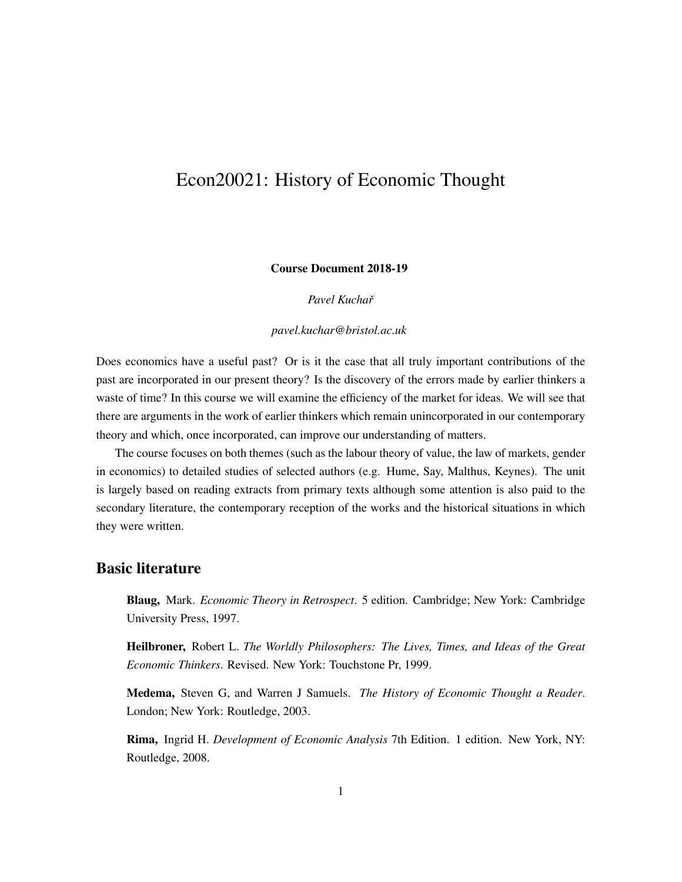# Econ20021: History of Economic Thought

#### Course Document 2018-19

#### *Pavel Kuchaˇr*

#### *pavel.kuchar@bristol.ac.uk*

Does economics have a useful past? Or is it the case that all truly important contributions of the past are incorporated in our present theory? Is the discovery of the errors made by earlier thinkers a waste of time? In this course we will examine the efficiency of the market for ideas. We will see that there are arguments in the work of earlier thinkers which remain unincorporated in our contemporary theory and which, once incorporated, can improve our understanding of matters.

The course focuses on both themes (such as the labour theory of value, the law of markets, gender in economics) to detailed studies of selected authors (e.g. Hume, Say, Malthus, Keynes). The unit is largely based on reading extracts from primary texts although some attention is also paid to the secondary literature, the contemporary reception of the works and the historical situations in which they were written.

# Basic literature

Blaug, Mark. *Economic Theory in Retrospect*. 5 edition. Cambridge; New York: Cambridge University Press, 1997.

Heilbroner, Robert L. *The Worldly Philosophers: The Lives, Times, and Ideas of the Great Economic Thinkers*. Revised. New York: Touchstone Pr, 1999.

Medema, Steven G, and Warren J Samuels. *The History of Economic Thought a Reader*. London; New York: Routledge, 2003.

Rima, Ingrid H. *Development of Economic Analysis* 7th Edition. 1 edition. New York, NY: Routledge, 2008.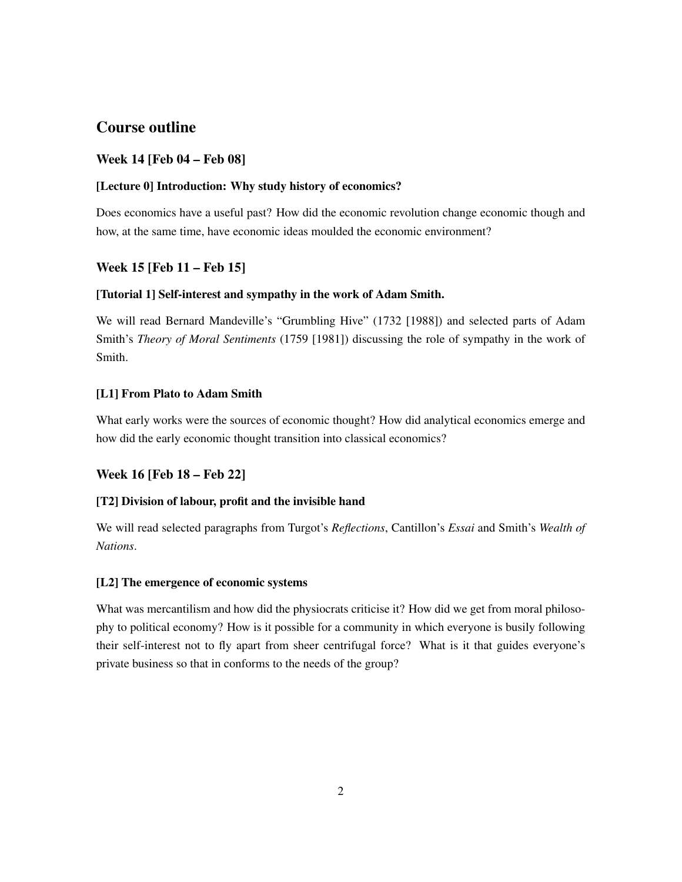# Course outline

# Week 14 [Feb 04 – Feb 08]

### [Lecture 0] Introduction: Why study history of economics?

Does economics have a useful past? How did the economic revolution change economic though and how, at the same time, have economic ideas moulded the economic environment?

# Week 15 [Feb 11 – Feb 15]

### [Tutorial 1] Self-interest and sympathy in the work of Adam Smith.

We will read Bernard Mandeville's "Grumbling Hive" (1732 [1988]) and selected parts of Adam Smith's *Theory of Moral Sentiments* (1759 [1981]) discussing the role of sympathy in the work of Smith.

### [L1] From Plato to Adam Smith

What early works were the sources of economic thought? How did analytical economics emerge and how did the early economic thought transition into classical economics?

# Week 16 [Feb 18 – Feb 22]

# [T2] Division of labour, profit and the invisible hand

We will read selected paragraphs from Turgot's *Reflections*, Cantillon's *Essai* and Smith's *Wealth of Nations*.

# [L2] The emergence of economic systems

What was mercantilism and how did the physiocrats criticise it? How did we get from moral philosophy to political economy? How is it possible for a community in which everyone is busily following their self-interest not to fly apart from sheer centrifugal force? What is it that guides everyone's private business so that in conforms to the needs of the group?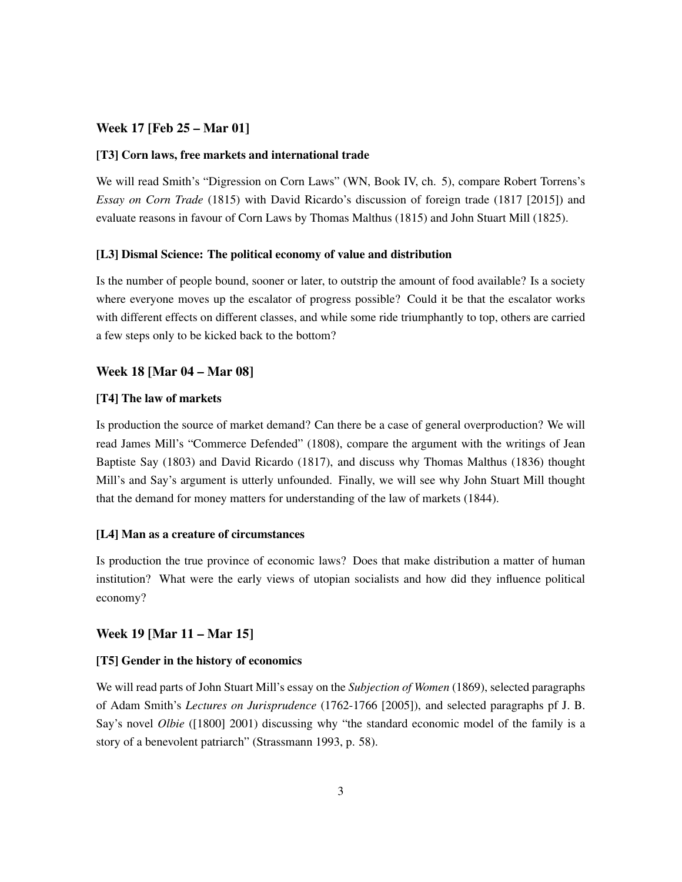## Week 17 [Feb 25 – Mar 01]

#### [T3] Corn laws, free markets and international trade

We will read Smith's "Digression on Corn Laws" (WN, Book IV, ch. 5), compare Robert Torrens's *Essay on Corn Trade* (1815) with David Ricardo's discussion of foreign trade (1817 [2015]) and evaluate reasons in favour of Corn Laws by Thomas Malthus (1815) and John Stuart Mill (1825).

#### [L3] Dismal Science: The political economy of value and distribution

Is the number of people bound, sooner or later, to outstrip the amount of food available? Is a society where everyone moves up the escalator of progress possible? Could it be that the escalator works with different effects on different classes, and while some ride triumphantly to top, others are carried a few steps only to be kicked back to the bottom?

#### Week 18 [Mar 04 – Mar 08]

#### [T4] The law of markets

Is production the source of market demand? Can there be a case of general overproduction? We will read James Mill's "Commerce Defended" (1808), compare the argument with the writings of Jean Baptiste Say (1803) and David Ricardo (1817), and discuss why Thomas Malthus (1836) thought Mill's and Say's argument is utterly unfounded. Finally, we will see why John Stuart Mill thought that the demand for money matters for understanding of the law of markets (1844).

#### [L4] Man as a creature of circumstances

Is production the true province of economic laws? Does that make distribution a matter of human institution? What were the early views of utopian socialists and how did they influence political economy?

#### Week 19 [Mar 11 – Mar 15]

#### [T5] Gender in the history of economics

We will read parts of John Stuart Mill's essay on the *Subjection of Women* (1869), selected paragraphs of Adam Smith's *Lectures on Jurisprudence* (1762-1766 [2005]), and selected paragraphs pf J. B. Say's novel *Olbie* ([1800] 2001) discussing why "the standard economic model of the family is a story of a benevolent patriarch" (Strassmann 1993, p. 58).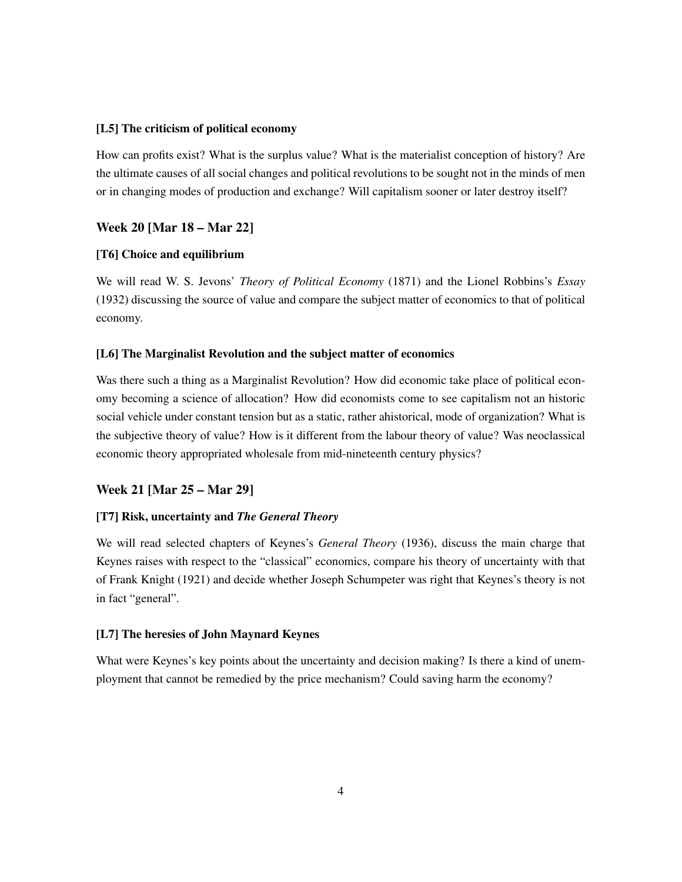#### [L5] The criticism of political economy

How can profits exist? What is the surplus value? What is the materialist conception of history? Are the ultimate causes of all social changes and political revolutions to be sought not in the minds of men or in changing modes of production and exchange? Will capitalism sooner or later destroy itself?

# Week 20 [Mar 18 – Mar 22]

#### [T6] Choice and equilibrium

We will read W. S. Jevons' *Theory of Political Economy* (1871) and the Lionel Robbins's *Essay* (1932) discussing the source of value and compare the subject matter of economics to that of political economy.

#### [L6] The Marginalist Revolution and the subject matter of economics

Was there such a thing as a Marginalist Revolution? How did economic take place of political economy becoming a science of allocation? How did economists come to see capitalism not an historic social vehicle under constant tension but as a static, rather ahistorical, mode of organization? What is the subjective theory of value? How is it different from the labour theory of value? Was neoclassical economic theory appropriated wholesale from mid-nineteenth century physics?

### Week 21 [Mar 25 – Mar 29]

#### [T7] Risk, uncertainty and *The General Theory*

We will read selected chapters of Keynes's *General Theory* (1936), discuss the main charge that Keynes raises with respect to the "classical" economics, compare his theory of uncertainty with that of Frank Knight (1921) and decide whether Joseph Schumpeter was right that Keynes's theory is not in fact "general".

#### [L7] The heresies of John Maynard Keynes

What were Keynes's key points about the uncertainty and decision making? Is there a kind of unemployment that cannot be remedied by the price mechanism? Could saving harm the economy?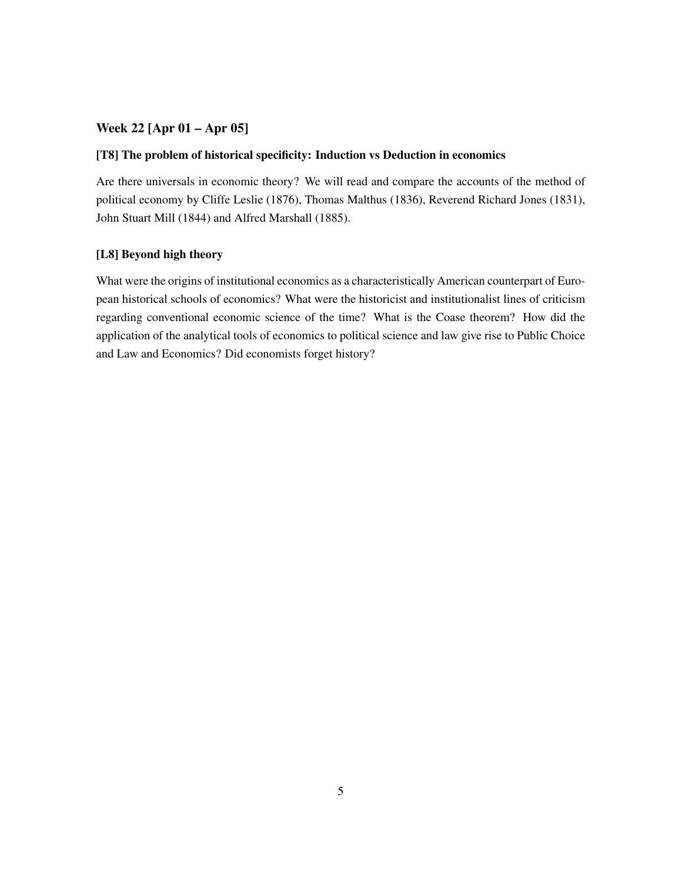# Week 22 [Apr 01 – Apr 05]

### [T8] The problem of historical specificity: Induction vs Deduction in economics

Are there universals in economic theory? We will read and compare the accounts of the method of political economy by Cliffe Leslie (1876), Thomas Malthus (1836), Reverend Richard Jones (1831), John Stuart Mill (1844) and Alfred Marshall (1885).

## [L8] Beyond high theory

What were the origins of institutional economics as a characteristically American counterpart of European historical schools of economics? What were the historicist and institutionalist lines of criticism regarding conventional economic science of the time? What is the Coase theorem? How did the application of the analytical tools of economics to political science and law give rise to Public Choice and Law and Economics? Did economists forget history?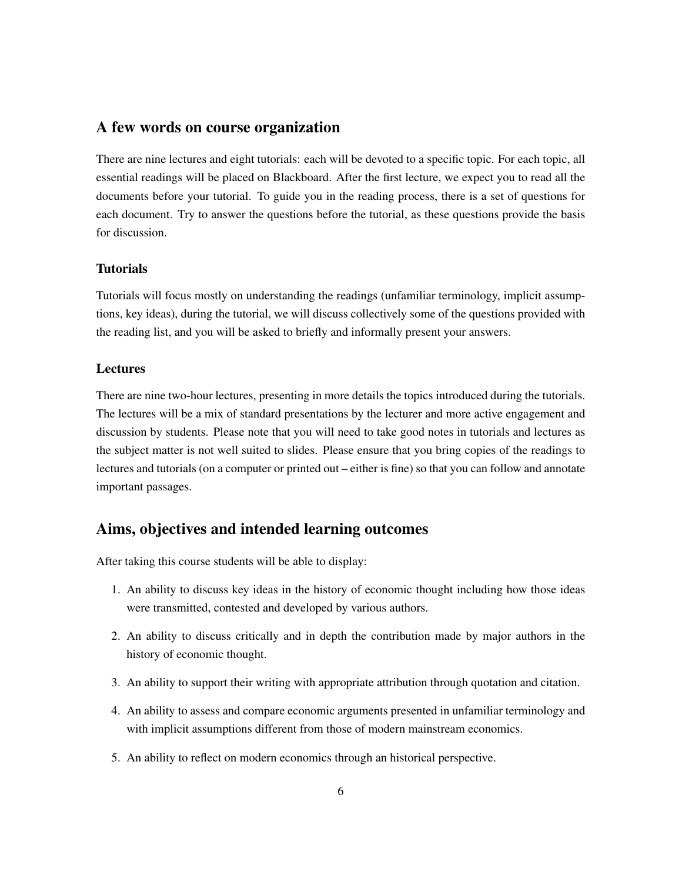# A few words on course organization

There are nine lectures and eight tutorials: each will be devoted to a specific topic. For each topic, all essential readings will be placed on Blackboard. After the first lecture, we expect you to read all the documents before your tutorial. To guide you in the reading process, there is a set of questions for each document. Try to answer the questions before the tutorial, as these questions provide the basis for discussion.

## **Tutorials**

Tutorials will focus mostly on understanding the readings (unfamiliar terminology, implicit assumptions, key ideas), during the tutorial, we will discuss collectively some of the questions provided with the reading list, and you will be asked to briefly and informally present your answers.

## **Lectures**

There are nine two-hour lectures, presenting in more details the topics introduced during the tutorials. The lectures will be a mix of standard presentations by the lecturer and more active engagement and discussion by students. Please note that you will need to take good notes in tutorials and lectures as the subject matter is not well suited to slides. Please ensure that you bring copies of the readings to lectures and tutorials (on a computer or printed out – either is fine) so that you can follow and annotate important passages.

# Aims, objectives and intended learning outcomes

After taking this course students will be able to display:

- 1. An ability to discuss key ideas in the history of economic thought including how those ideas were transmitted, contested and developed by various authors.
- 2. An ability to discuss critically and in depth the contribution made by major authors in the history of economic thought.
- 3. An ability to support their writing with appropriate attribution through quotation and citation.
- 4. An ability to assess and compare economic arguments presented in unfamiliar terminology and with implicit assumptions different from those of modern mainstream economics.
- 5. An ability to reflect on modern economics through an historical perspective.